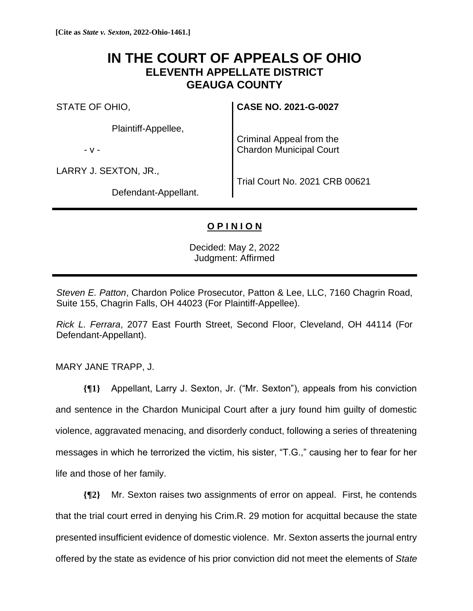# **IN THE COURT OF APPEALS OF OHIO ELEVENTH APPELLATE DISTRICT GEAUGA COUNTY**

STATE OF OHIO,

Plaintiff-Appellee,

- v -

LARRY J. SEXTON, JR.,

**CASE NO. 2021-G-0027**

Criminal Appeal from the Chardon Municipal Court

Defendant-Appellant.

Trial Court No. 2021 CRB 00621

## **O P I N I O N**

Decided: May 2, 2022 Judgment: Affirmed

*Steven E. Patton*, Chardon Police Prosecutor, Patton & Lee, LLC, 7160 Chagrin Road, Suite 155, Chagrin Falls, OH 44023 (For Plaintiff-Appellee).

*Rick L. Ferrara*, 2077 East Fourth Street, Second Floor, Cleveland, OH 44114 (For Defendant-Appellant).

MARY JANE TRAPP, J.

**{¶1}** Appellant, Larry J. Sexton, Jr. ("Mr. Sexton"), appeals from his conviction and sentence in the Chardon Municipal Court after a jury found him guilty of domestic violence, aggravated menacing, and disorderly conduct, following a series of threatening messages in which he terrorized the victim, his sister, "T.G.," causing her to fear for her life and those of her family.

**{¶2}** Mr. Sexton raises two assignments of error on appeal. First, he contends that the trial court erred in denying his Crim.R. 29 motion for acquittal because the state presented insufficient evidence of domestic violence. Mr. Sexton asserts the journal entry offered by the state as evidence of his prior conviction did not meet the elements of *State*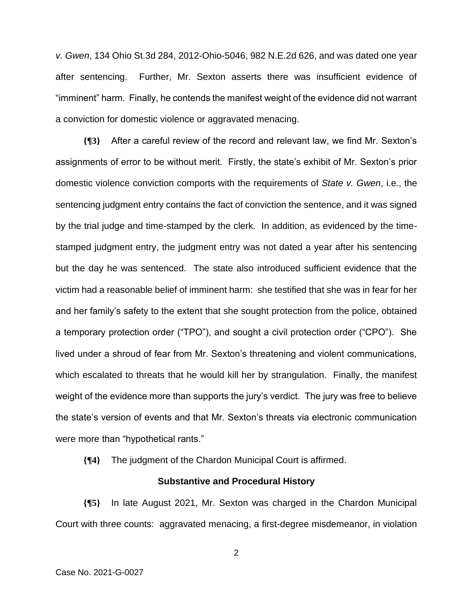*v. Gwen*, 134 Ohio St.3d 284, 2012-Ohio-5046, 982 N.E.2d 626, and was dated one year after sentencing. Further, Mr. Sexton asserts there was insufficient evidence of "imminent" harm. Finally, he contends the manifest weight of the evidence did not warrant a conviction for domestic violence or aggravated menacing.

**{¶3}** After a careful review of the record and relevant law, we find Mr. Sexton's assignments of error to be without merit. Firstly, the state's exhibit of Mr. Sexton's prior domestic violence conviction comports with the requirements of *State v. Gwen*, i.e., the sentencing judgment entry contains the fact of conviction the sentence, and it was signed by the trial judge and time-stamped by the clerk. In addition, as evidenced by the timestamped judgment entry, the judgment entry was not dated a year after his sentencing but the day he was sentenced. The state also introduced sufficient evidence that the victim had a reasonable belief of imminent harm: she testified that she was in fear for her and her family's safety to the extent that she sought protection from the police, obtained a temporary protection order ("TPO"), and sought a civil protection order ("CPO"). She lived under a shroud of fear from Mr. Sexton's threatening and violent communications, which escalated to threats that he would kill her by strangulation. Finally, the manifest weight of the evidence more than supports the jury's verdict. The jury was free to believe the state's version of events and that Mr. Sexton's threats via electronic communication were more than "hypothetical rants."

**{¶4}** The judgment of the Chardon Municipal Court is affirmed.

#### **Substantive and Procedural History**

**{¶5}** In late August 2021, Mr. Sexton was charged in the Chardon Municipal Court with three counts: aggravated menacing, a first-degree misdemeanor, in violation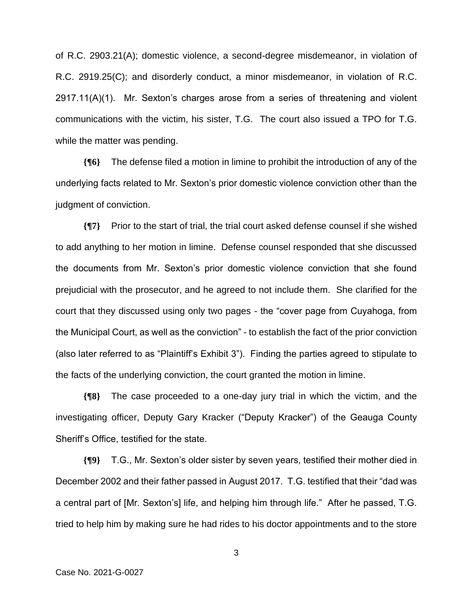of R.C. 2903.21(A); domestic violence, a second-degree misdemeanor, in violation of R.C. 2919.25(C); and disorderly conduct, a minor misdemeanor, in violation of R.C. 2917.11(A)(1). Mr. Sexton's charges arose from a series of threatening and violent communications with the victim, his sister, T.G. The court also issued a TPO for T.G. while the matter was pending.

**{¶6}** The defense filed a motion in limine to prohibit the introduction of any of the underlying facts related to Mr. Sexton's prior domestic violence conviction other than the judgment of conviction.

**{¶7}** Prior to the start of trial, the trial court asked defense counsel if she wished to add anything to her motion in limine. Defense counsel responded that she discussed the documents from Mr. Sexton's prior domestic violence conviction that she found prejudicial with the prosecutor, and he agreed to not include them. She clarified for the court that they discussed using only two pages - the "cover page from Cuyahoga, from the Municipal Court, as well as the conviction" - to establish the fact of the prior conviction (also later referred to as "Plaintiff's Exhibit 3"). Finding the parties agreed to stipulate to the facts of the underlying conviction, the court granted the motion in limine.

**{¶8}** The case proceeded to a one-day jury trial in which the victim, and the investigating officer, Deputy Gary Kracker ("Deputy Kracker") of the Geauga County Sheriff's Office, testified for the state.

**{¶9}** T.G., Mr. Sexton's older sister by seven years, testified their mother died in December 2002 and their father passed in August 2017. T.G. testified that their "dad was a central part of [Mr. Sexton's] life, and helping him through life." After he passed, T.G. tried to help him by making sure he had rides to his doctor appointments and to the store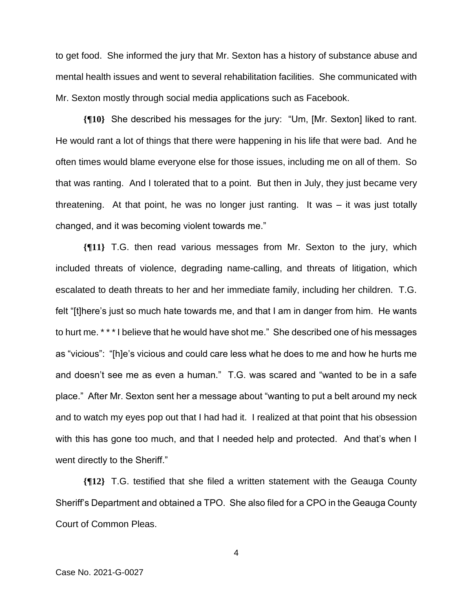to get food. She informed the jury that Mr. Sexton has a history of substance abuse and mental health issues and went to several rehabilitation facilities. She communicated with Mr. Sexton mostly through social media applications such as Facebook.

**{¶10}** She described his messages for the jury: "Um, [Mr. Sexton] liked to rant. He would rant a lot of things that there were happening in his life that were bad. And he often times would blame everyone else for those issues, including me on all of them. So that was ranting. And I tolerated that to a point. But then in July, they just became very threatening. At that point, he was no longer just ranting. It was – it was just totally changed, and it was becoming violent towards me."

**{¶11}** T.G. then read various messages from Mr. Sexton to the jury, which included threats of violence, degrading name-calling, and threats of litigation, which escalated to death threats to her and her immediate family, including her children. T.G. felt "[t]here's just so much hate towards me, and that I am in danger from him. He wants to hurt me. \* \* \* I believe that he would have shot me." She described one of his messages as "vicious": "[h]e's vicious and could care less what he does to me and how he hurts me and doesn't see me as even a human." T.G. was scared and "wanted to be in a safe place." After Mr. Sexton sent her a message about "wanting to put a belt around my neck and to watch my eyes pop out that I had had it. I realized at that point that his obsession with this has gone too much, and that I needed help and protected. And that's when I went directly to the Sheriff."

**{¶12}** T.G. testified that she filed a written statement with the Geauga County Sheriff's Department and obtained a TPO. She also filed for a CPO in the Geauga County Court of Common Pleas.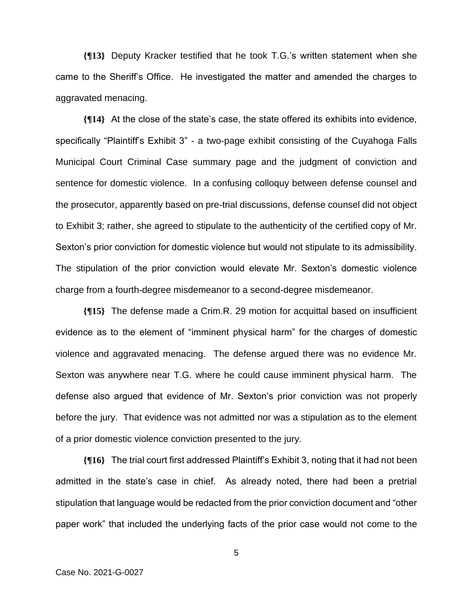**{¶13}** Deputy Kracker testified that he took T.G.'s written statement when she came to the Sheriff's Office. He investigated the matter and amended the charges to aggravated menacing.

**{¶14}** At the close of the state's case, the state offered its exhibits into evidence, specifically "Plaintiff's Exhibit 3" - a two-page exhibit consisting of the Cuyahoga Falls Municipal Court Criminal Case summary page and the judgment of conviction and sentence for domestic violence. In a confusing colloquy between defense counsel and the prosecutor, apparently based on pre-trial discussions, defense counsel did not object to Exhibit 3; rather, she agreed to stipulate to the authenticity of the certified copy of Mr. Sexton's prior conviction for domestic violence but would not stipulate to its admissibility. The stipulation of the prior conviction would elevate Mr. Sexton's domestic violence charge from a fourth-degree misdemeanor to a second-degree misdemeanor.

**{¶15}** The defense made a Crim.R. 29 motion for acquittal based on insufficient evidence as to the element of "imminent physical harm" for the charges of domestic violence and aggravated menacing. The defense argued there was no evidence Mr. Sexton was anywhere near T.G. where he could cause imminent physical harm. The defense also argued that evidence of Mr. Sexton's prior conviction was not properly before the jury. That evidence was not admitted nor was a stipulation as to the element of a prior domestic violence conviction presented to the jury.

**{¶16}** The trial court first addressed Plaintiff's Exhibit 3, noting that it had not been admitted in the state's case in chief. As already noted, there had been a pretrial stipulation that language would be redacted from the prior conviction document and "other paper work" that included the underlying facts of the prior case would not come to the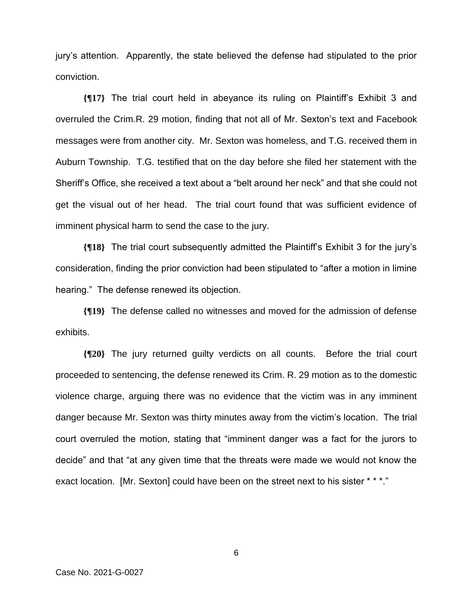jury's attention. Apparently, the state believed the defense had stipulated to the prior conviction.

**{¶17}** The trial court held in abeyance its ruling on Plaintiff's Exhibit 3 and overruled the Crim.R. 29 motion, finding that not all of Mr. Sexton's text and Facebook messages were from another city. Mr. Sexton was homeless, and T.G. received them in Auburn Township. T.G. testified that on the day before she filed her statement with the Sheriff's Office, she received a text about a "belt around her neck" and that she could not get the visual out of her head. The trial court found that was sufficient evidence of imminent physical harm to send the case to the jury.

**{¶18}** The trial court subsequently admitted the Plaintiff's Exhibit 3 for the jury's consideration, finding the prior conviction had been stipulated to "after a motion in limine hearing." The defense renewed its objection.

**{¶19}** The defense called no witnesses and moved for the admission of defense exhibits.

**{¶20}** The jury returned guilty verdicts on all counts. Before the trial court proceeded to sentencing, the defense renewed its Crim. R. 29 motion as to the domestic violence charge, arguing there was no evidence that the victim was in any imminent danger because Mr. Sexton was thirty minutes away from the victim's location. The trial court overruled the motion, stating that "imminent danger was a fact for the jurors to decide" and that "at any given time that the threats were made we would not know the exact location. [Mr. Sexton] could have been on the street next to his sister \* \* \*."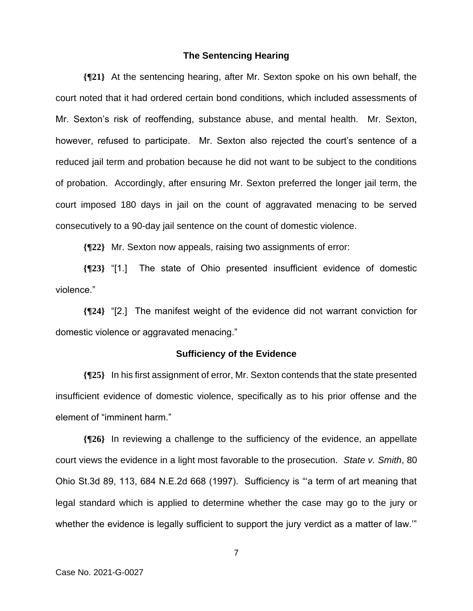#### **The Sentencing Hearing**

**{¶21}** At the sentencing hearing, after Mr. Sexton spoke on his own behalf, the court noted that it had ordered certain bond conditions, which included assessments of Mr. Sexton's risk of reoffending, substance abuse, and mental health. Mr. Sexton, however, refused to participate. Mr. Sexton also rejected the court's sentence of a reduced jail term and probation because he did not want to be subject to the conditions of probation. Accordingly, after ensuring Mr. Sexton preferred the longer jail term, the court imposed 180 days in jail on the count of aggravated menacing to be served consecutively to a 90-day jail sentence on the count of domestic violence.

**{¶22}** Mr. Sexton now appeals, raising two assignments of error:

**{¶23}** "[1.] The state of Ohio presented insufficient evidence of domestic violence."

**{¶24}** "[2.] The manifest weight of the evidence did not warrant conviction for domestic violence or aggravated menacing."

#### **Sufficiency of the Evidence**

**{¶25}** In his first assignment of error, Mr. Sexton contends that the state presented insufficient evidence of domestic violence, specifically as to his prior offense and the element of "imminent harm."

**{¶26}** In reviewing a challenge to the sufficiency of the evidence, an appellate court views the evidence in a light most favorable to the prosecution. *State v. Smith*, 80 Ohio St.3d 89, 113, 684 N.E.2d 668 (1997). Sufficiency is "'a term of art meaning that legal standard which is applied to determine whether the case may go to the jury or whether the evidence is legally sufficient to support the jury verdict as a matter of law.""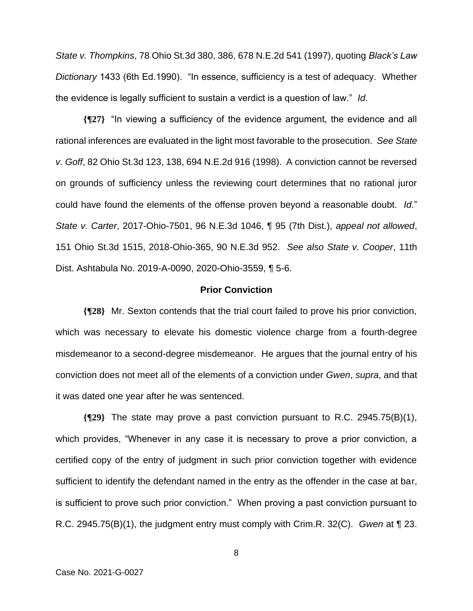*State v. Thompkins*, 78 Ohio St.3d 380, 386, 678 N.E.2d 541 (1997), quoting *Black's Law Dictionary* 1433 (6th Ed.1990). "In essence, sufficiency is a test of adequacy. Whether the evidence is legally sufficient to sustain a verdict is a question of law." *Id*.

**{¶27}** "In viewing a sufficiency of the evidence argument, the evidence and all rational inferences are evaluated in the light most favorable to the prosecution. *See State v. Goff*, 82 Ohio St.3d 123, 138, 694 N.E.2d 916 (1998). A conviction cannot be reversed on grounds of sufficiency unless the reviewing court determines that no rational juror could have found the elements of the offense proven beyond a reasonable doubt. *Id.*" *State v. Carter*, 2017-Ohio-7501, 96 N.E.3d 1046, ¶ 95 (7th Dist.), *appeal not allowed*, 151 Ohio St.3d 1515, 2018-Ohio-365, 90 N.E.3d 952. *See also State v. Cooper*, 11th Dist. Ashtabula No. 2019-A-0090, 2020-Ohio-3559, ¶ 5-6.

### **Prior Conviction**

**{¶28}** Mr. Sexton contends that the trial court failed to prove his prior conviction, which was necessary to elevate his domestic violence charge from a fourth-degree misdemeanor to a second-degree misdemeanor. He argues that the journal entry of his conviction does not meet all of the elements of a conviction under *Gwen*, *supra*, and that it was dated one year after he was sentenced.

**{¶29}** The state may prove a past conviction pursuant to R.C. 2945.75(B)(1), which provides, "Whenever in any case it is necessary to prove a prior conviction, a certified copy of the entry of judgment in such prior conviction together with evidence sufficient to identify the defendant named in the entry as the offender in the case at bar, is sufficient to prove such prior conviction." When proving a past conviction pursuant to R.C. 2945.75(B)(1), the judgment entry must comply with Crim.R. 32(C). *Gwen* at ¶ 23.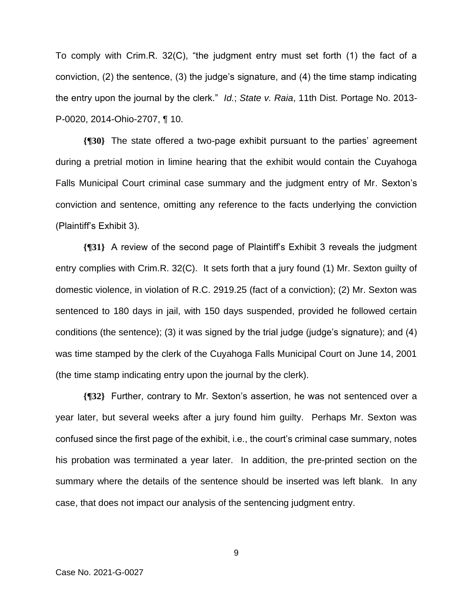To comply with Crim.R. 32(C), "the judgment entry must set forth (1) the fact of a conviction, (2) the sentence, (3) the judge's signature, and (4) the time stamp indicating the entry upon the journal by the clerk." *Id.*; *State v. Raia*, 11th Dist. Portage No. 2013- P-0020, 2014-Ohio-2707, ¶ 10.

**{¶30}** The state offered a two-page exhibit pursuant to the parties' agreement during a pretrial motion in limine hearing that the exhibit would contain the Cuyahoga Falls Municipal Court criminal case summary and the judgment entry of Mr. Sexton's conviction and sentence, omitting any reference to the facts underlying the conviction (Plaintiff's Exhibit 3).

**{¶31}** A review of the second page of Plaintiff's Exhibit 3 reveals the judgment entry complies with Crim.R. 32(C). It sets forth that a jury found (1) Mr. Sexton guilty of domestic violence, in violation of R.C. 2919.25 (fact of a conviction); (2) Mr. Sexton was sentenced to 180 days in jail, with 150 days suspended, provided he followed certain conditions (the sentence); (3) it was signed by the trial judge (judge's signature); and (4) was time stamped by the clerk of the Cuyahoga Falls Municipal Court on June 14, 2001 (the time stamp indicating entry upon the journal by the clerk).

**{¶32}** Further, contrary to Mr. Sexton's assertion, he was not sentenced over a year later, but several weeks after a jury found him guilty. Perhaps Mr. Sexton was confused since the first page of the exhibit, i.e., the court's criminal case summary, notes his probation was terminated a year later. In addition, the pre-printed section on the summary where the details of the sentence should be inserted was left blank. In any case, that does not impact our analysis of the sentencing judgment entry.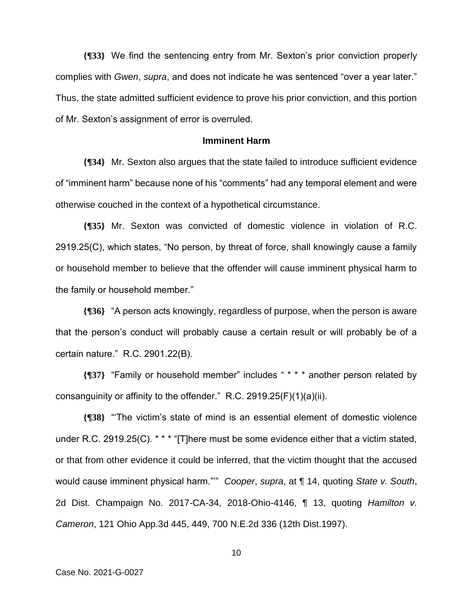**{¶33}** We find the sentencing entry from Mr. Sexton's prior conviction properly complies with *Gwen*, *supra*, and does not indicate he was sentenced "over a year later." Thus, the state admitted sufficient evidence to prove his prior conviction, and this portion of Mr. Sexton's assignment of error is overruled.

#### **Imminent Harm**

**{¶34}** Mr. Sexton also argues that the state failed to introduce sufficient evidence of "imminent harm" because none of his "comments" had any temporal element and were otherwise couched in the context of a hypothetical circumstance.

**{¶35}** Mr. Sexton was convicted of domestic violence in violation of R.C. 2919.25(C), which states, "No person, by threat of force, shall knowingly cause a family or household member to believe that the offender will cause imminent physical harm to the family or household member."

**{¶36}** "A person acts knowingly, regardless of purpose, when the person is aware that the person's conduct will probably cause a certain result or will probably be of a certain nature." R.C. 2901.22(B).

**{¶37}** "Family or household member" includes " \* \* \* another person related by consanguinity or affinity to the offender." R.C. 2919.25(F)(1)(a)(ii).

**{¶38}** "'The victim's state of mind is an essential element of domestic violence under R.C. 2919.25(C). \* \* \* "[T]here must be some evidence either that a victim stated, or that from other evidence it could be inferred, that the victim thought that the accused would cause imminent physical harm."'" *Cooper*, *supra*, at ¶ 14, quoting *State v. South*, 2d Dist. Champaign No. 2017-CA-34, 2018-Ohio-4146, ¶ 13, quoting *Hamilton v. Cameron*, 121 Ohio App.3d 445, 449, 700 N.E.2d 336 (12th Dist.1997).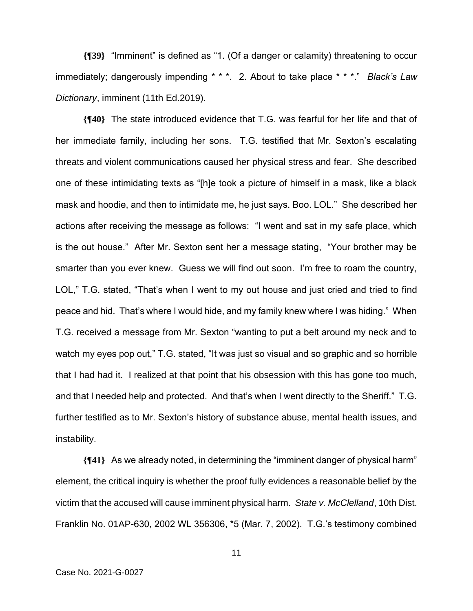**{¶39}** "Imminent" is defined as "1. (Of a danger or calamity) threatening to occur immediately; dangerously impending \* \* \*. 2. About to take place \* \* \*." *Black's Law Dictionary*, imminent (11th Ed.2019).

**{¶40}** The state introduced evidence that T.G. was fearful for her life and that of her immediate family, including her sons. T.G. testified that Mr. Sexton's escalating threats and violent communications caused her physical stress and fear. She described one of these intimidating texts as "[h]e took a picture of himself in a mask, like a black mask and hoodie, and then to intimidate me, he just says. Boo. LOL." She described her actions after receiving the message as follows: "I went and sat in my safe place, which is the out house." After Mr. Sexton sent her a message stating, "Your brother may be smarter than you ever knew. Guess we will find out soon. I'm free to roam the country, LOL," T.G. stated, "That's when I went to my out house and just cried and tried to find peace and hid. That's where I would hide, and my family knew where I was hiding." When T.G. received a message from Mr. Sexton "wanting to put a belt around my neck and to watch my eyes pop out," T.G. stated, "It was just so visual and so graphic and so horrible that I had had it. I realized at that point that his obsession with this has gone too much, and that I needed help and protected. And that's when I went directly to the Sheriff." T.G. further testified as to Mr. Sexton's history of substance abuse, mental health issues, and instability.

**{¶41}** As we already noted, in determining the "imminent danger of physical harm" element, the critical inquiry is whether the proof fully evidences a reasonable belief by the victim that the accused will cause imminent physical harm. *State v. McClelland*, 10th Dist. Franklin No. 01AP-630, 2002 WL 356306, \*5 (Mar. 7, 2002). T.G.'s testimony combined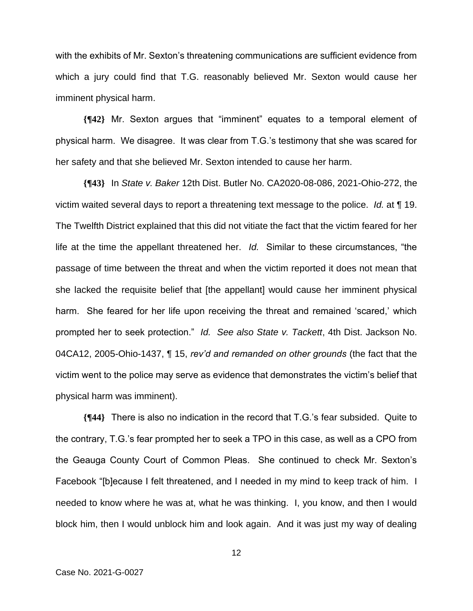with the exhibits of Mr. Sexton's threatening communications are sufficient evidence from which a jury could find that T.G. reasonably believed Mr. Sexton would cause her imminent physical harm.

**{¶42}** Mr. Sexton argues that "imminent" equates to a temporal element of physical harm. We disagree. It was clear from T.G.'s testimony that she was scared for her safety and that she believed Mr. Sexton intended to cause her harm.

**{¶43}** In *State v. Baker* 12th Dist. Butler No. CA2020-08-086, 2021-Ohio-272, the victim waited several days to report a threatening text message to the police. *Id.* at ¶ 19. The Twelfth District explained that this did not vitiate the fact that the victim feared for her life at the time the appellant threatened her. *Id.* Similar to these circumstances, "the passage of time between the threat and when the victim reported it does not mean that she lacked the requisite belief that [the appellant] would cause her imminent physical harm. She feared for her life upon receiving the threat and remained 'scared,' which prompted her to seek protection." *Id. See also State v. Tackett*, 4th Dist. Jackson No. 04CA12, 2005-Ohio-1437, ¶ 15, *rev'd and remanded on other grounds* (the fact that the victim went to the police may serve as evidence that demonstrates the victim's belief that physical harm was imminent).

**{¶44}** There is also no indication in the record that T.G.'s fear subsided. Quite to the contrary, T.G.'s fear prompted her to seek a TPO in this case, as well as a CPO from the Geauga County Court of Common Pleas. She continued to check Mr. Sexton's Facebook "[b]ecause I felt threatened, and I needed in my mind to keep track of him. I needed to know where he was at, what he was thinking. I, you know, and then I would block him, then I would unblock him and look again. And it was just my way of dealing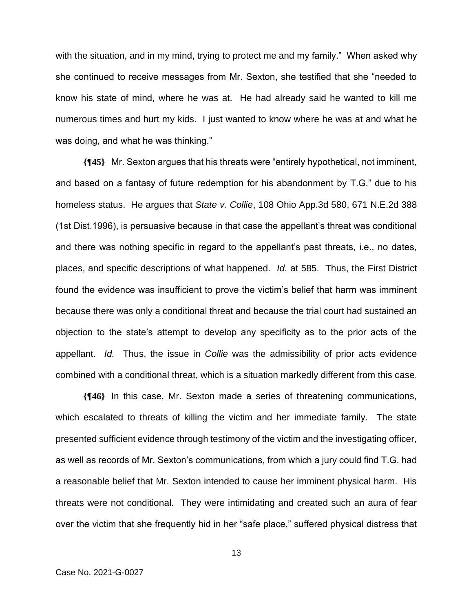with the situation, and in my mind, trying to protect me and my family." When asked why she continued to receive messages from Mr. Sexton, she testified that she "needed to know his state of mind, where he was at. He had already said he wanted to kill me numerous times and hurt my kids. I just wanted to know where he was at and what he was doing, and what he was thinking."

**{¶45}** Mr. Sexton argues that his threats were "entirely hypothetical, not imminent, and based on a fantasy of future redemption for his abandonment by T.G." due to his homeless status. He argues that *State v. Collie*, 108 Ohio App.3d 580, 671 N.E.2d 388 (1st Dist.1996), is persuasive because in that case the appellant's threat was conditional and there was nothing specific in regard to the appellant's past threats, i.e., no dates, places, and specific descriptions of what happened. *Id.* at 585. Thus, the First District found the evidence was insufficient to prove the victim's belief that harm was imminent because there was only a conditional threat and because the trial court had sustained an objection to the state's attempt to develop any specificity as to the prior acts of the appellant. *Id.* Thus, the issue in *Collie* was the admissibility of prior acts evidence combined with a conditional threat, which is a situation markedly different from this case.

**{¶46}** In this case, Mr. Sexton made a series of threatening communications, which escalated to threats of killing the victim and her immediate family. The state presented sufficient evidence through testimony of the victim and the investigating officer, as well as records of Mr. Sexton's communications, from which a jury could find T.G. had a reasonable belief that Mr. Sexton intended to cause her imminent physical harm. His threats were not conditional. They were intimidating and created such an aura of fear over the victim that she frequently hid in her "safe place," suffered physical distress that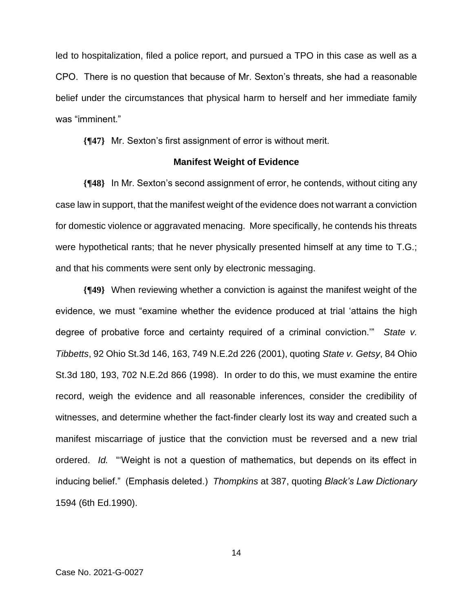led to hospitalization, filed a police report, and pursued a TPO in this case as well as a CPO. There is no question that because of Mr. Sexton's threats, she had a reasonable belief under the circumstances that physical harm to herself and her immediate family was "imminent."

**{¶47}** Mr. Sexton's first assignment of error is without merit.

#### **Manifest Weight of Evidence**

**{¶48}** In Mr. Sexton's second assignment of error, he contends, without citing any case law in support, that the manifest weight of the evidence does not warrant a conviction for domestic violence or aggravated menacing. More specifically, he contends his threats were hypothetical rants; that he never physically presented himself at any time to T.G.; and that his comments were sent only by electronic messaging.

**{¶49}** When reviewing whether a conviction is against the manifest weight of the evidence, we must "examine whether the evidence produced at trial 'attains the high degree of probative force and certainty required of a criminal conviction.'" *State v. Tibbetts*, 92 Ohio St.3d 146, 163, 749 N.E.2d 226 (2001), quoting *State v. Getsy*, 84 Ohio St.3d 180, 193, 702 N.E.2d 866 (1998). In order to do this, we must examine the entire record, weigh the evidence and all reasonable inferences, consider the credibility of witnesses, and determine whether the fact-finder clearly lost its way and created such a manifest miscarriage of justice that the conviction must be reversed and a new trial ordered. *Id.* "'Weight is not a question of mathematics, but depends on its effect in inducing belief." (Emphasis deleted.) *Thompkins* at 387, quoting *Black's Law Dictionary* 1594 (6th Ed.1990).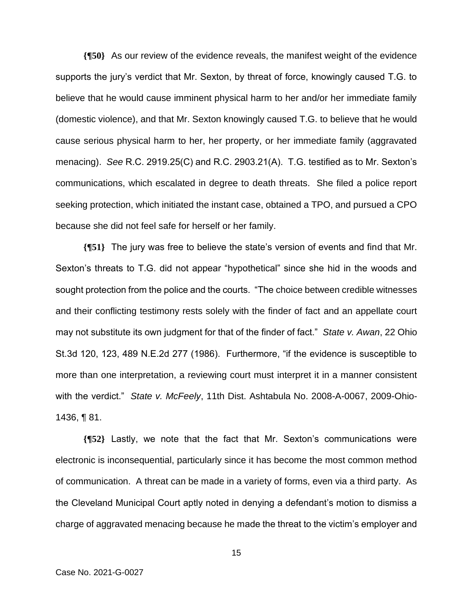**{¶50}** As our review of the evidence reveals, the manifest weight of the evidence supports the jury's verdict that Mr. Sexton, by threat of force, knowingly caused T.G. to believe that he would cause imminent physical harm to her and/or her immediate family (domestic violence), and that Mr. Sexton knowingly caused T.G. to believe that he would cause serious physical harm to her, her property, or her immediate family (aggravated menacing). *See* R.C. 2919.25(C) and R.C. 2903.21(A). T.G. testified as to Mr. Sexton's communications, which escalated in degree to death threats. She filed a police report seeking protection, which initiated the instant case, obtained a TPO, and pursued a CPO because she did not feel safe for herself or her family.

**{¶51}** The jury was free to believe the state's version of events and find that Mr. Sexton's threats to T.G. did not appear "hypothetical" since she hid in the woods and sought protection from the police and the courts. "The choice between credible witnesses and their conflicting testimony rests solely with the finder of fact and an appellate court may not substitute its own judgment for that of the finder of fact." *State v. Awan*, 22 Ohio St.3d 120, 123, 489 N.E.2d 277 (1986). Furthermore, "if the evidence is susceptible to more than one interpretation, a reviewing court must interpret it in a manner consistent with the verdict." *State v. McFeely*, 11th Dist. Ashtabula No. 2008-A-0067, 2009-Ohio-1436, ¶ 81.

**{¶52}** Lastly, we note that the fact that Mr. Sexton's communications were electronic is inconsequential, particularly since it has become the most common method of communication. A threat can be made in a variety of forms, even via a third party. As the Cleveland Municipal Court aptly noted in denying a defendant's motion to dismiss a charge of aggravated menacing because he made the threat to the victim's employer and